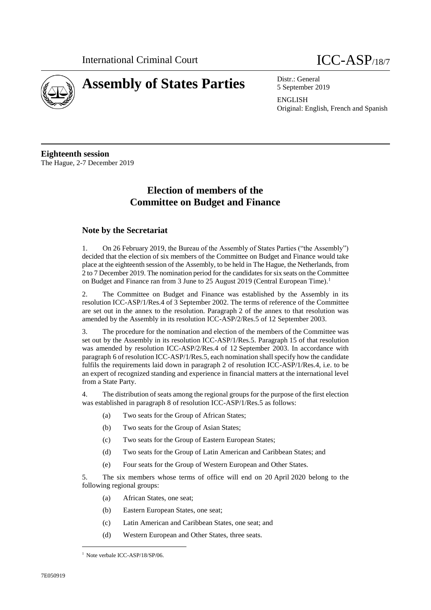

# 5 September 2019

ENGLISH Original: English, French and Spanish

**Eighteenth session** The Hague, 2-7 December 2019

# **Election of members of the Committee on Budget and Finance**

# **Note by the Secretariat**

1. On 26 February 2019, the Bureau of the Assembly of States Parties ("the Assembly") decided that the election of six members of the Committee on Budget and Finance would take place at the eighteenth session of the Assembly, to be held in The Hague, the Netherlands, from 2 to 7 December 2019. The nomination period for the candidates for six seats on the Committee on Budget and Finance ran from 3 June to 25 August 2019 (Central European Time).<sup>1</sup>

2. The Committee on Budget and Finance was established by the Assembly in its resolution ICC-ASP/1/Res.4 of 3 September 2002. The terms of reference of the Committee are set out in the annex to the resolution. Paragraph 2 of the annex to that resolution was amended by the Assembly in its resolution ICC-ASP/2/Res.5 of 12 September 2003.

3. The procedure for the nomination and election of the members of the Committee was set out by the Assembly in its resolution ICC-ASP/1/Res.5. Paragraph 15 of that resolution was amended by resolution ICC-ASP/2/Res.4 of 12 September 2003. In accordance with paragraph 6 of resolution ICC-ASP/1/Res.5, each nomination shall specify how the candidate fulfils the requirements laid down in paragraph 2 of resolution ICC-ASP/1/Res.4, i.e. to be an expert of recognized standing and experience in financial matters at the international level from a State Party.

4. The distribution of seats among the regional groups for the purpose of the first election was established in paragraph 8 of resolution ICC-ASP/1/Res.5 as follows:

- (a) Two seats for the Group of African States;
- (b) Two seats for the Group of Asian States;
- (c) Two seats for the Group of Eastern European States;
- (d) Two seats for the Group of Latin American and Caribbean States; and
- (e) Four seats for the Group of Western European and Other States.

5. The six members whose terms of office will end on 20 April 2020 belong to the following regional groups:

- (a) African States, one seat;
- (b) Eastern European States, one seat;
- (c) Latin American and Caribbean States, one seat; and
- (d) Western European and Other States, three seats.

<sup>&</sup>lt;sup>1</sup> Note verbale ICC-ASP/18/SP/06.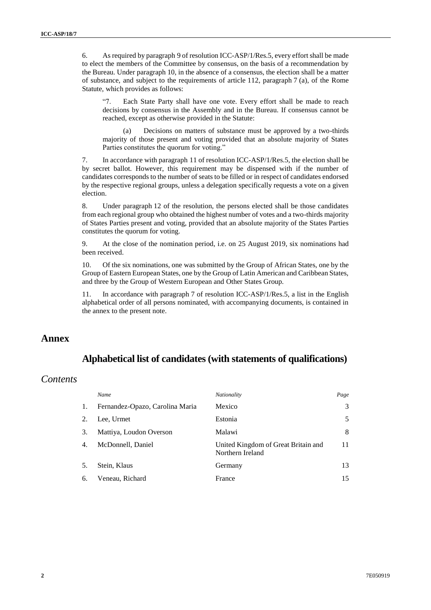6. As required by paragraph 9 of resolution ICC-ASP/1/Res.5, every effort shall be made to elect the members of the Committee by consensus, on the basis of a recommendation by the Bureau. Under paragraph 10, in the absence of a consensus, the election shall be a matter of substance, and subject to the requirements of article 112, paragraph 7 (a), of the Rome Statute, which provides as follows:

"7. Each State Party shall have one vote. Every effort shall be made to reach decisions by consensus in the Assembly and in the Bureau. If consensus cannot be reached, except as otherwise provided in the Statute:

(a) Decisions on matters of substance must be approved by a two-thirds majority of those present and voting provided that an absolute majority of States Parties constitutes the quorum for voting."

7. In accordance with paragraph 11 of resolution ICC-ASP/1/Res.5, the election shall be by secret ballot. However, this requirement may be dispensed with if the number of candidates corresponds to the number of seats to be filled or in respect of candidates endorsed by the respective regional groups, unless a delegation specifically requests a vote on a given election.

8. Under paragraph 12 of the resolution, the persons elected shall be those candidates from each regional group who obtained the highest number of votes and a two-thirds majority of States Parties present and voting, provided that an absolute majority of the States Parties constitutes the quorum for voting.

9. At the close of the nomination period, i.e. on 25 August 2019, six nominations had been received.

10. Of the six nominations, one was submitted by the Group of African States, one by the Group of Eastern European States, one by the Group of Latin American and Caribbean States, and three by the Group of Western European and Other States Group.

11. In accordance with paragraph 7 of resolution ICC-ASP/1/Res.5, a list in the English alphabetical order of all persons nominated, with accompanying documents, is contained in the annex to the present note.

# **Annex**

# **Alphabetical list of candidates (with statements of qualifications)**

# *Contents*

|    | Name                            | Nationality                                             | Page |
|----|---------------------------------|---------------------------------------------------------|------|
| 1. | Fernandez-Opazo, Carolina Maria | Mexico                                                  | 3    |
| 2. | Lee, Urmet                      | Estonia                                                 | 5    |
| 3. | Mattiya, Loudon Overson         | Malawi                                                  | 8    |
| 4. | McDonnell, Daniel               | United Kingdom of Great Britain and<br>Northern Ireland | 11   |
| 5. | Stein, Klaus                    | Germany                                                 | 13   |
| 6. | Veneau, Richard                 | France                                                  | 15   |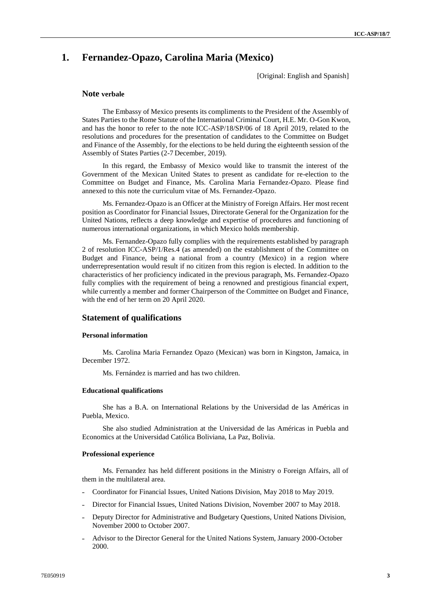# **1. Fernandez-Opazo, Carolina Maria (Mexico)**

[Original: English and Spanish]

# **Note verbale**

The Embassy of Mexico presents its compliments to the President of the Assembly of States Parties to the Rome Statute of the International Criminal Court, H.E. Mr. O-Gon Kwon, and has the honor to refer to the note ICC-ASP/18/SP/06 of 18 April 2019, related to the resolutions and procedures for the presentation of candidates to the Committee on Budget and Finance of the Assembly, for the elections to be held during the eighteenth session of the Assembly of States Parties (2-7 December, 2019).

In this regard, the Embassy of Mexico would like to transmit the interest of the Government of the Mexican United States to present as candidate for re-election to the Committee on Budget and Finance, Ms. Carolina Maria Fernandez-Opazo. Please find annexed to this note the curriculum vitae of Ms. Fernandez-Opazo.

Ms. Fernandez-Opazo is an Officer at the Ministry of Foreign Affairs. Her most recent position as Coordinator for Financial Issues, Directorate General for the Organization for the United Nations, reflects a deep knowledge and expertise of procedures and functioning of numerous international organizations, in which Mexico holds membership.

Ms. Fernandez-Opazo fully complies with the requirements established by paragraph 2 of resolution ICC-ASP/1/Res.4 (as amended) on the establishment of the Committee on Budget and Finance, being a national from a country (Mexico) in a region where underrepresentation would result if no citizen from this region is elected. In addition to the characteristics of her proficiency indicated in the previous paragraph, Ms. Fernandez-Opazo fully complies with the requirement of being a renowned and prestigious financial expert, while currently a member and former Chairperson of the Committee on Budget and Finance, with the end of her term on 20 April 2020.

# **Statement of qualifications**

#### **Personal information**

Ms. Carolina Maria Fernandez Opazo (Mexican) was born in Kingston, Jamaica, in December 1972.

Ms. Fernández is married and has two children.

#### **Educational qualifications**

She has a B.A. on International Relations by the Universidad de las Américas in Puebla, Mexico.

She also studied Administration at the Universidad de las Américas in Puebla and Economics at the Universidad Católica Boliviana, La Paz, Bolivia.

#### **Professional experience**

Ms. Fernandez has held different positions in the Ministry o Foreign Affairs, all of them in the multilateral area.

- Coordinator for Financial Issues, United Nations Division, May 2018 to May 2019.
- ˗ Director for Financial Issues, United Nations Division, November 2007 to May 2018.
- Deputy Director for Administrative and Budgetary Questions, United Nations Division, November 2000 to October 2007.
- ˗ Advisor to the Director General for the United Nations System, January 2000-October 2000.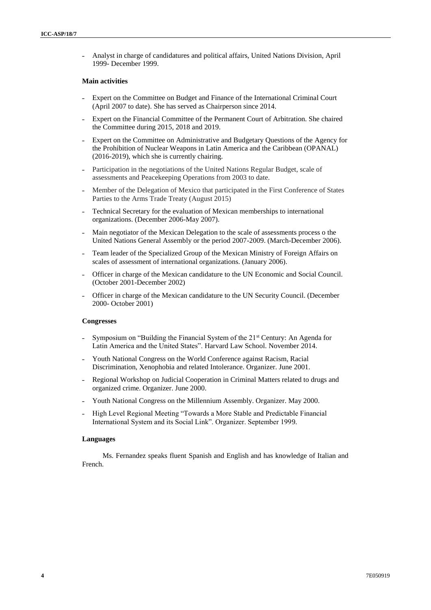˗ Analyst in charge of candidatures and political affairs, United Nations Division, April 1999- December 1999.

#### **Main activities**

- ˗ Expert on the Committee on Budget and Finance of the International Criminal Court (April 2007 to date). She has served as Chairperson since 2014.
- ˗ Expert on the Financial Committee of the Permanent Court of Arbitration. She chaired the Committee during 2015, 2018 and 2019.
- ˗ Expert on the Committee on Administrative and Budgetary Questions of the Agency for the Prohibition of Nuclear Weapons in Latin America and the Caribbean (OPANAL) (2016-2019), which she is currently chairing.
- Participation in the negotiations of the United Nations Regular Budget, scale of assessments and Peacekeeping Operations from 2003 to date.
- ˗ Member of the Delegation of Mexico that participated in the First Conference of States Parties to the Arms Trade Treaty (August 2015)
- ˗ Technical Secretary for the evaluation of Mexican memberships to international organizations. (December 2006-May 2007).
- Main negotiator of the Mexican Delegation to the scale of assessments process o the United Nations General Assembly or the period 2007-2009. (March-December 2006).
- ˗ Team leader of the Specialized Group of the Mexican Ministry of Foreign Affairs on scales of assessment of international organizations. (January 2006).
- ˗ Officer in charge of the Mexican candidature to the UN Economic and Social Council. (October 2001-December 2002)
- ˗ Officer in charge of the Mexican candidature to the UN Security Council. (December 2000- October 2001)

### **Congresses**

- Symposium on "Building the Financial System of the  $21<sup>st</sup>$  Century: An Agenda for Latin America and the United States". Harvard Law School. November 2014.
- ˗ Youth National Congress on the World Conference against Racism, Racial Discrimination, Xenophobia and related Intolerance. Organizer. June 2001.
- ˗ Regional Workshop on Judicial Cooperation in Criminal Matters related to drugs and organized crime. Organizer. June 2000.
- Youth National Congress on the Millennium Assembly. Organizer. May 2000.
- ˗ High Level Regional Meeting "Towards a More Stable and Predictable Financial International System and its Social Link". Organizer. September 1999.

#### **Languages**

Ms. Fernandez speaks fluent Spanish and English and has knowledge of Italian and French.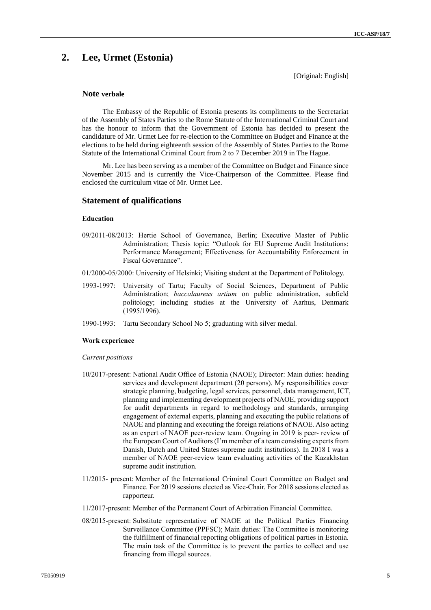# **2. Lee, Urmet (Estonia)**

[Original: English]

# **Note verbale**

The Embassy of the Republic of Estonia presents its compliments to the Secretariat of the Assembly of States Parties to the Rome Statute of the International Criminal Court and has the honour to inform that the Government of Estonia has decided to present the candidature of Mr. Urmet Lee for re-election to the Committee on Budget and Finance at the elections to be held during eighteenth session of the Assembly of States Parties to the Rome Statute of the International Criminal Court from 2 to 7 December 2019 in The Hague.

Mr. Lee has been serving as a member of the Committee on Budget and Finance since November 2015 and is currently the Vice-Chairperson of the Committee. Please find enclosed the curriculum vitae of Mr. Urmet Lee.

### **Statement of qualifications**

# **Education**

- 09/2011-08/2013: Hertie School of Governance, Berlin; Executive Master of Public Administration; Thesis topic: "Outlook for EU Supreme Audit Institutions: Performance Management; Effectiveness for Accountability Enforcement in Fiscal Governance".
- 01/2000-05/2000: University of Helsinki; Visiting student at the Department of Politology.
- 1993-1997: University of Tartu; Faculty of Social Sciences, Department of Public Administration; *baccalaureus artium* on public administration, subfield politology; including studies at the University of Aarhus, Denmark (1995/1996).
- 1990-1993: Tartu Secondary School No 5; graduating with silver medal.

#### **Work experience**

#### *Current positions*

- 10/2017-present: National Audit Office of Estonia (NAOE); Director: Main duties: heading services and development department (20 persons). My responsibilities cover strategic planning, budgeting, legal services, personnel, data management, ICT, planning and implementing development projects of NAOE, providing support for audit departments in regard to methodology and standards, arranging engagement of external experts, planning and executing the public relations of NAOE and planning and executing the foreign relations of NAOE. Also acting as an expert of NAOE peer-review team. Ongoing in 2019 is peer- review of the European Court of Auditors (I'm member of a team consisting experts from Danish, Dutch and United States supreme audit institutions). In 2018 I was a member of NAOE peer-review team evaluating activities of the Kazakhstan supreme audit institution.
- 11/2015- present: Member of the International Criminal Court Committee on Budget and Finance. For 2019 sessions elected as Vice-Chair. For 2018 sessions elected as rapporteur.
- 11/2017-present: Member of the Permanent Court of Arbitration Financial Committee.
- 08/2015-present: Substitute representative of NAOE at the Political Parties Financing Surveillance Committee (PPFSC); Main duties: The Committee is monitoring the fulfillment of financial reporting obligations of political parties in Estonia. The main task of the Committee is to prevent the parties to collect and use financing from illegal sources.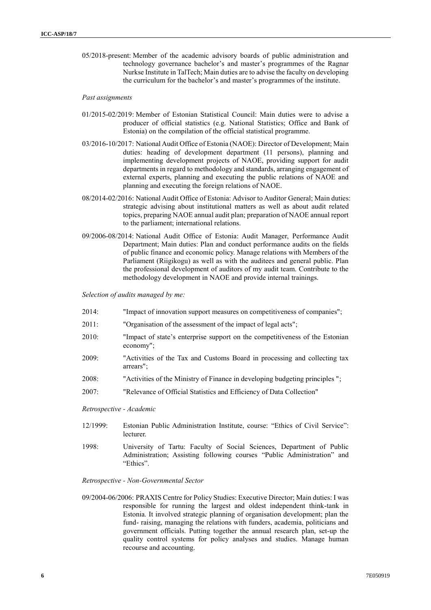05/2018-present: Member of the academic advisory boards of public administration and technology governance bachelor's and master's programmes of the Ragnar Nurkse Institute in TalTech; Main duties are to advise the faculty on developing the curriculum for the bachelor's and master's programmes of the institute.

#### *Past assignments*

- 01/2015-02/2019: Member of Estonian Statistical Council: Main duties were to advise a producer of official statistics (e.g. National Statistics; Office and Bank of Estonia) on the compilation of the official statistical programme.
- 03/2016-10/2017: National Audit Office of Estonia (NAOE): Director of Development; Main duties: heading of development department (11 persons), planning and implementing development projects of NAOE, providing support for audit departments in regard to methodology and standards, arranging engagement of external experts, planning and executing the public relations of NAOE and planning and executing the foreign relations of NAOE.
- 08/2014-02/2016: National Audit Office of Estonia: Advisor to Auditor General; Main duties: strategic advising about institutional matters as well as about audit related topics, preparing NAOE annual audit plan; preparation of NAOE annual report to the parliament; international relations.
- 09/2006-08/2014: National Audit Office of Estonia: Audit Manager, Performance Audit Department; Main duties: Plan and conduct performance audits on the fields of public finance and economic policy. Manage relations with Members of the Parliament (Riigikogu) as well as with the auditees and general public. Plan the professional development of auditors of my audit team. Contribute to the methodology development in NAOE and provide internal trainings.

*Selection of audits managed by me:*

- 2014: ["Impact of innovation support measures on competitiveness of companies";](http://www.riigikontroll.ee/tabid/206/Audit/2340/Area/4/language/en-US/Default.aspx)
- 2011: ["Organisation of the assessment of the impact of legal acts";](http://www.riigikontroll.ee/tabid/206/Audit/2200/Area/4/language/en-US/Default.aspx)
- 2010: ["Impact of state's enterprise support on the competitiveness of the Estonian](http://www.riigikontroll.ee/tabid/206/Audit/2148/Area/4/language/en-US/Default.aspx) [economy";](http://www.riigikontroll.ee/tabid/206/Audit/2148/Area/4/language/en-US/Default.aspx)
- 2009: ["Activities of the Tax and Customs Board in processing and collecting tax](http://www.riigikontroll.ee/tabid/206/Audit/2120/Area/18/language/en-US/Default.aspx)  [arrears";](http://www.riigikontroll.ee/tabid/206/Audit/2120/Area/18/language/en-US/Default.aspx)
- 2008: ["Activities of the Ministry of Finance in developing budgeting principles ";](http://www.riigikontroll.ee/tabid/206/Audit/2072/Area/18/language/en-US/Default.aspx)
- 2007: ["Relevance of Official Statistics and Efficiency of Data Collection"](http://www.riigikontroll.ee/tabid/206/Audit/2015/Area/18/language/en-US/Default.aspx)
- *Retrospective - Academic*
- 12/1999: Estonian Public Administration Institute, course: "Ethics of Civil Service": lecturer.
- 1998: University of Tartu: Faculty of Social Sciences, Department of Public Administration; Assisting following courses "Public Administration" and "Ethics".

### *Retrospective - Non-Governmental Sector*

09/2004-06/2006: PRAXIS Centre for Policy Studies: Executive Director; Main duties: I was responsible for running the largest and oldest independent think-tank in Estonia. It involved strategic planning of organisation development; plan the fund- raising, managing the relations with funders, academia, politicians and government officials. Putting together the annual research plan, set-up the quality control systems for policy analyses and studies. Manage human recourse and accounting.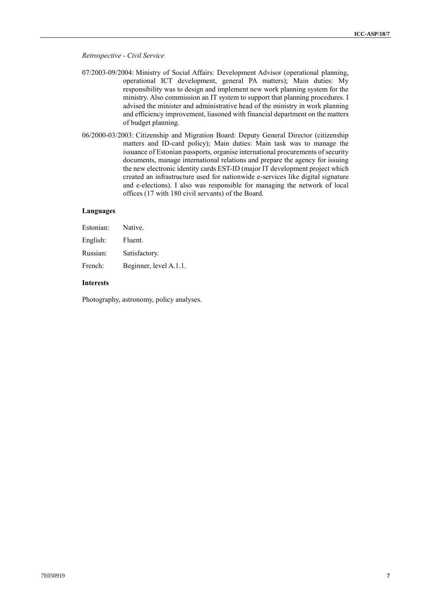#### *Retrospective - Civil Service*

- 07/2003-09/2004: Ministry of Social Affairs: Development Advisor (operational planning, operational ICT development, general PA matters); Main duties: My responsibility was to design and implement new work planning system for the ministry. Also commission an IT system to support that planning procedures. I advised the minister and administrative head of the ministry in work planning and efficiency improvement, liasoned with financial department on the matters of budget planning.
- 06/2000-03/2003: Citizenship and Migration Board: Deputy General Director (citizenship matters and ID-card policy); Main duties: Main task was to manage the issuance of Estonian passports, organise international procurements of security documents, manage international relations and prepare the agency for issuing the new electronic identity cards EST-ID (major IT development project which created an infrastructure used for nationwide e-services like digital signature and e-elections). I also was responsible for managing the network of local offices (17 with 180 civil servants) of the Board.

# **Languages**

| Estonian: | Native.                |
|-----------|------------------------|
| English:  | Fluent.                |
| Russian:  | Satisfactory.          |
| French:   | Beginner, level A.1.1. |

# **Interests**

Photography, astronomy, policy analyses.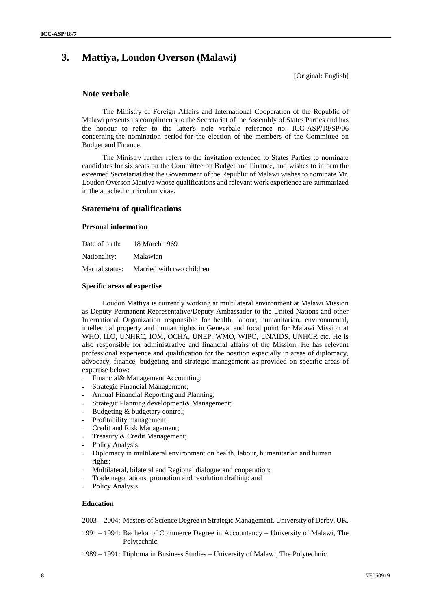# **3. Mattiya, Loudon Overson (Malawi)**

[Original: English]

# **Note verbale**

The Ministry of Foreign Affairs and International Cooperation of the Republic of Malawi presents its compliments to the Secretariat of the Assembly of States Parties and has the honour to refer to the latter's note verbale reference no. ICC-ASP/18/SP/06 concerning the nomination period for the election of the members of the Committee on Budget and Finance.

The Ministry further refers to the invitation extended to States Parties to nominate candidates for six seats on the Committee on Budget and Finance, and wishes to inform the esteemed Secretariat that the Government of the Republic of Malawi wishes to nominate Mr. Loudon Overson Mattiya whose qualifications and relevant work experience are summarized in the attached curriculum vitae.

# **Statement of qualifications**

### **Personal information**

| Date of birth: | 18 March 1969                             |
|----------------|-------------------------------------------|
| Nationality:   | Malawian                                  |
|                | Marital status: Married with two children |

#### **Specific areas of expertise**

Loudon Mattiya is currently working at multilateral environment at Malawi Mission as Deputy Permanent Representative/Deputy Ambassador to the United Nations and other International Organization responsible for health, labour, humanitarian, environmental, intellectual property and human rights in Geneva, and focal point for Malawi Mission at WHO, ILO, UNHRC, IOM, OCHA, UNEP, WMO, WIPO, UNAIDS, UNHCR etc. He is also responsible for administrative and financial affairs of the Mission. He has relevant professional experience and qualification for the position especially in areas of diplomacy, advocacy, finance, budgeting and strategic management as provided on specific areas of expertise below:

- Financial& Management Accounting;
- ˗ Strategic Financial Management;
- ˗ Annual Financial Reporting and Planning;
- ˗ Strategic Planning development& Management;
- Budgeting & budgetary control;
- Profitability management;
- ˗ Credit and Risk Management;
- ˗ Treasury & Credit Management;
- Policy Analysis;
- ˗ Diplomacy in multilateral environment on health, labour, humanitarian and human rights;
- ˗ Multilateral, bilateral and Regional dialogue and cooperation;
- ˗ Trade negotiations, promotion and resolution drafting; and
- Policy Analysis.

#### **Education**

- 2003 2004: Masters of Science Degree in Strategic Management, University of Derby, UK.
- 1991 1994: Bachelor of Commerce Degree in Accountancy University of Malawi, The Polytechnic.
- 1989 1991: Diploma in Business Studies University of Malawi, The Polytechnic.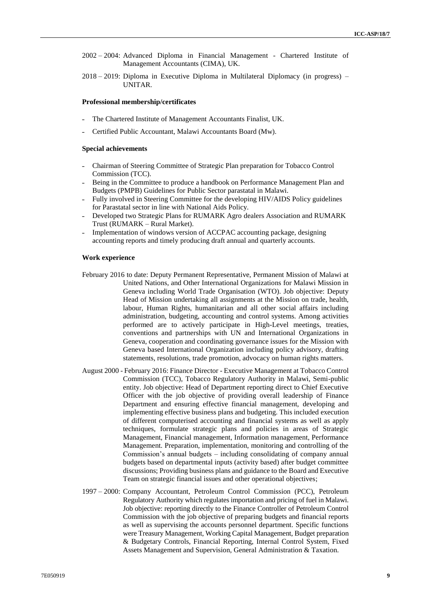- 2002 2004: Advanced Diploma in Financial Management Chartered Institute of Management Accountants (CIMA), UK.
- 2018 2019: Diploma in Executive Diploma in Multilateral Diplomacy (in progress) UNITAR.

#### **Professional membership/certificates**

- ˗ The Chartered Institute of Management Accountants Finalist, UK.
- ˗ Certified Public Accountant, Malawi Accountants Board (Mw).

#### **Special achievements**

- ˗ Chairman of Steering Committee of Strategic Plan preparation for Tobacco Control Commission (TCC).
- Being in the Committee to produce a handbook on Performance Management Plan and Budgets (PMPB) Guidelines for Public Sector parastatal in Malawi.
- ˗ Fully involved in Steering Committee for the developing HIV/AIDS Policy guidelines for Parastatal sector in line with National Aids Policy.
- ˗ Developed two Strategic Plans for RUMARK Agro dealers Association and RUMARK Trust (RUMARK – Rural Market).
- Implementation of windows version of ACCPAC accounting package, designing accounting reports and timely producing draft annual and quarterly accounts.

#### **Work experience**

- February 2016 to date: Deputy Permanent Representative, Permanent Mission of Malawi at United Nations, and Other International Organizations for Malawi Mission in Geneva including World Trade Organisation (WTO). Job objective: Deputy Head of Mission undertaking all assignments at the Mission on trade, health, labour, Human Rights, humanitarian and all other social affairs including administration, budgeting, accounting and control systems. Among activities performed are to actively participate in High-Level meetings, treaties, conventions and partnerships with UN and International Organizations in Geneva, cooperation and coordinating governance issues for the Mission with Geneva based International Organization including policy advisory, drafting statements, resolutions, trade promotion, advocacy on human rights matters.
- August 2000 February 2016: Finance Director Executive Management at Tobacco Control Commission (TCC), Tobacco Regulatory Authority in Malawi, Semi-public entity. Job objective: Head of Department reporting direct to Chief Executive Officer with the job objective of providing overall leadership of Finance Department and ensuring effective financial management, developing and implementing effective business plans and budgeting. This included execution of different computerised accounting and financial systems as well as apply techniques, formulate strategic plans and policies in areas of Strategic Management, Financial management, Information management, Performance Management. Preparation, implementation, monitoring and controlling of the Commission's annual budgets – including consolidating of company annual budgets based on departmental inputs (activity based) after budget committee discussions; Providing business plans and guidance to the Board and Executive Team on strategic financial issues and other operational objectives;
- 1997 2000: Company Accountant, Petroleum Control Commission (PCC), Petroleum Regulatory Authority which regulates importation and pricing of fuel in Malawi. Job objective: reporting directly to the Finance Controller of Petroleum Control Commission with the job objective of preparing budgets and financial reports as well as supervising the accounts personnel department. Specific functions were Treasury Management, Working Capital Management, Budget preparation & Budgetary Controls, Financial Reporting, Internal Control System, Fixed Assets Management and Supervision, General Administration & Taxation.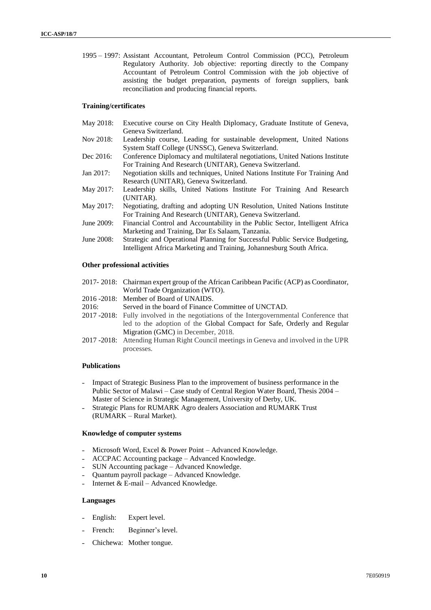1995 – 1997: Assistant Accountant, Petroleum Control Commission (PCC), Petroleum Regulatory Authority. Job objective: reporting directly to the Company Accountant of Petroleum Control Commission with the job objective of assisting the budget preparation, payments of foreign suppliers, bank reconciliation and producing financial reports.

# **Training/certificates**

| May 2018:   | Executive course on City Health Diplomacy, Graduate Institute of Geneva,      |
|-------------|-------------------------------------------------------------------------------|
|             | Geneva Switzerland.                                                           |
| Nov 2018:   | Leadership course, Leading for sustainable development, United Nations        |
|             | System Staff College (UNSSC), Geneva Switzerland.                             |
| Dec 2016:   | Conference Diplomacy and multilateral negotiations, United Nations Institute  |
|             | For Training And Research (UNITAR), Geneva Switzerland.                       |
| Jan 2017:   | Negotiation skills and techniques, United Nations Institute For Training And  |
|             | Research (UNITAR), Geneva Switzerland.                                        |
| May 2017:   | Leadership skills, United Nations Institute For Training And Research         |
|             | (UNITAR).                                                                     |
| May 2017:   | Negotiating, drafting and adopting UN Resolution, United Nations Institute    |
|             | For Training And Research (UNITAR), Geneva Switzerland.                       |
| June 2009:  | Financial Control and Accountability in the Public Sector, Intelligent Africa |
|             | Marketing and Training, Dar Es Salaam, Tanzania.                              |
| Iune $2008$ | Strategic and Operational Planning for Successful Public Service Budgeting    |

June 2008: Strategic and Operational Planning for Successful Public Service Budgeting, Intelligent Africa Marketing and Training, Johannesburg South Africa.

### **Other professional activities**

- 2017- 2018: Chairman expert group of the African Caribbean Pacific (ACP) as Coordinator, World Trade Organization (WTO).
- 2016 -2018: Member of Board of UNAIDS.
- 2016: Served in the board of Finance Committee of UNCTAD.
- 2017 -2018: Fully involved in the negotiations of the Intergovernmental Conference that led to the adoption of the [Global Compact for Safe, Orderly and Regular](https://undocs.org/A/CONF.231/3)  [Migration](https://undocs.org/A/CONF.231/3) (GMC) in December, 2018.
- 2017 -2018: Attending Human Right Council meetings in Geneva and involved in the UPR processes.

#### **Publications**

- ˗ Impact of Strategic Business Plan to the improvement of business performance in the Public Sector of Malawi – Case study of Central Region Water Board, Thesis 2004 – Master of Science in Strategic Management, University of Derby, UK.
- Strategic Plans for RUMARK Agro dealers Association and RUMARK Trust (RUMARK – Rural Market).

#### **Knowledge of computer systems**

- Microsoft Word, Excel & Power Point Advanced Knowledge.
- ˗ ACCPAC Accounting package Advanced Knowledge.
- ˗ SUN Accounting package Advanced Knowledge.
- ˗ Quantum payroll package Advanced Knowledge.
- ˗ Internet & E-mail Advanced Knowledge.

#### **Languages**

- English: Expert level.
- French: Beginner's level.
- ˗ Chichewa: Mother tongue.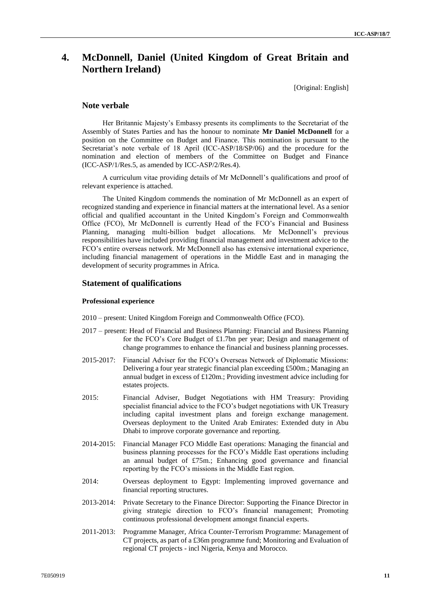# **4. McDonnell, Daniel (United Kingdom of Great Britain and Northern Ireland)**

[Original: English]

# **Note verbale**

Her Britannic Majesty's Embassy presents its compliments to the Secretariat of the Assembly of States Parties and has the honour to nominate **Mr Daniel McDonnell** for a position on the Committee on Budget and Finance. This nomination is pursuant to the Secretariat's note verbale of 18 April (ICC-ASP/18/SP/06) and the procedure for the nomination and election of members of the Committee on Budget and Finance (ICC-ASP/1/Res.5, as amended by ICC-ASP/2/Res.4).

A curriculum vitae providing details of Mr McDonnell's qualifications and proof of relevant experience is attached.

The United Kingdom commends the nomination of Mr McDonnell as an expert of recognized standing and experience in financial matters at the international level. As a senior official and qualified accountant in the United Kingdom's Foreign and Commonwealth Office (FCO), Mr McDonnell is currently Head of the FCO's Financial and Business Planning, managing multi-billion budget allocations. Mr McDonnell's previous responsibilities have included providing financial management and investment advice to the FCO's entire overseas network. Mr McDonnell also has extensive international experience, including financial management of operations in the Middle East and in managing the development of security programmes in Africa.

# **Statement of qualifications**

#### **Professional experience**

- 2010 present: United Kingdom Foreign and Commonwealth Office (FCO).
- 2017 present: Head of Financial and Business Planning: Financial and Business Planning for the FCO's Core Budget of £1.7bn per year; Design and management of change programmes to enhance the financial and business planning processes.
- 2015-2017: Financial Adviser for the FCO's Overseas Network of Diplomatic Missions: Delivering a four year strategic financial plan exceeding £500m.; Managing an annual budget in excess of £120m.; Providing investment advice including for estates projects.
- 2015: Financial Adviser, Budget Negotiations with HM Treasury: Providing specialist financial advice to the FCO's budget negotiations with UK Treasury including capital investment plans and foreign exchange management. Overseas deployment to the United Arab Emirates: Extended duty in Abu Dhabi to improve corporate governance and reporting.
- 2014-2015: Financial Manager FCO Middle East operations: Managing the financial and business planning processes for the FCO's Middle East operations including an annual budget of £75m.; Enhancing good governance and financial reporting by the FCO's missions in the Middle East region.
- 2014: Overseas deployment to Egypt: Implementing improved governance and financial reporting structures.
- 2013-2014: Private Secretary to the Finance Director: Supporting the Finance Director in giving strategic direction to FCO's financial management; Promoting continuous professional development amongst financial experts.
- 2011-2013: Programme Manager, Africa Counter-Terrorism Programme: Management of CT projects, as part of a £36m programme fund; Monitoring and Evaluation of regional CT projects - incl Nigeria, Kenya and Morocco.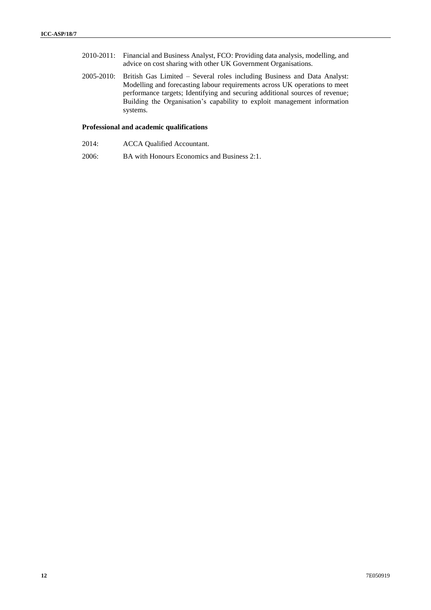- 2010-2011: Financial and Business Analyst, FCO: Providing data analysis, modelling, and advice on cost sharing with other UK Government Organisations.
- 2005-2010: British Gas Limited Several roles including Business and Data Analyst: Modelling and forecasting labour requirements across UK operations to meet performance targets; Identifying and securing additional sources of revenue; Building the Organisation's capability to exploit management information systems.

# **Professional and academic qualifications**

- 2014: ACCA Qualified Accountant.
- 2006: BA with Honours Economics and Business 2:1.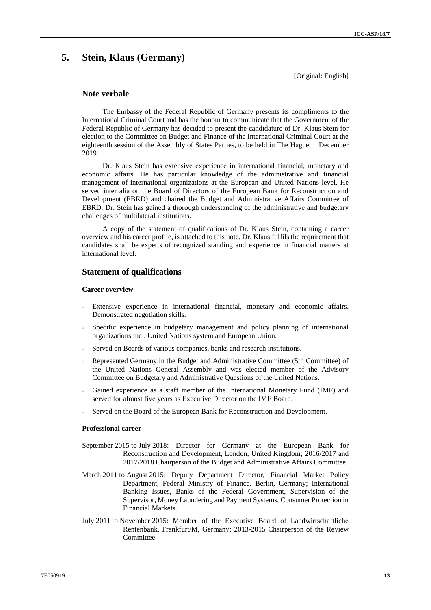# **5. Stein, Klaus (Germany)**

[Original: English]

# **Note verbale**

The Embassy of the Federal Republic of Germany presents its compliments to the International Criminal Court and has the honour to communicate that the Government of the Federal Republic of Germany has decided to present the candidature of Dr. Klaus Stein for election to the Committee on Budget and Finance of the International Criminal Court at the eighteenth session of the Assembly of States Parties, to be held in The Hague in December 2019.

Dr. Klaus Stein has extensive experience in international financial, monetary and economic affairs. He has particular knowledge of the administrative and financial management of international organizations at the European and United Nations level. He served inter alia on the Board of Directors of the European Bank for Reconstruction and Development (EBRD) and chaired the Budget and Administrative Affairs Committee of EBRD. Dr. Stein has gained a thorough understanding of the administrative and budgetary challenges of multilateral institutions.

A copy of the statement of qualifications of Dr. Klaus Stein, containing a career overview and his career profile, is attached to this note. Dr. Klaus fulfils the requirement that candidates shall be experts of recognized standing and experience in financial matters at international level.

# **Statement of qualifications**

### **Career overview**

- Extensive experience in international financial, monetary and economic affairs. Demonstrated negotiation skills.
- Specific experience in budgetary management and policy planning of international organizations incl. United Nations system and European Union.
- Served on Boards of various companies, banks and research institutions.
- ˗ Represented Germany in the Budget and Administrative Committee (5th Committee) of the United Nations General Assembly and was elected member of the Advisory Committee on Budgetary and Administrative Questions of the United Nations.
- Gained experience as a staff member of the International Monetary Fund (IMF) and served for almost five years as Executive Director on the IMF Board.
- Served on the Board of the European Bank for Reconstruction and Development.

#### **Professional career**

- September 2015 to July 2018: Director for Germany at the European Bank for Reconstruction and Development, London, United Kingdom; 2016/2017 and 2017/2018 Chairperson of the Budget and Administrative Affairs Committee.
- March 2011 to August 2015: Deputy Department Director, Financial Market Policy Department, Federal Ministry of Finance, Berlin, Germany; International Banking Issues, Banks of the Federal Government, Supervision of the Supervisor, Money Laundering and Payment Systems, Consumer Protection in Financial Markets.
- July 2011 to November 2015: Member of the Executive Board of Landwirtschaftliche Rentenbank, Frankfurt/M, Germany; 2013-2015 Chairperson of the Review **Committee**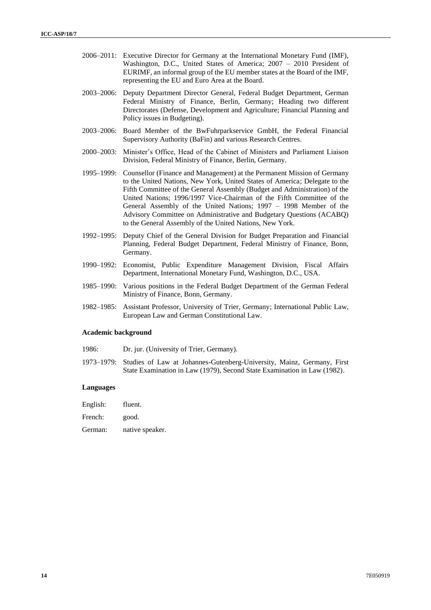- 2006–2011: Executive Director for Germany at the International Monetary Fund (IMF), Washington, D.C., United States of America; 2007 – 2010 President of EURIMF, an informal group of the EU member states at the Board of the IMF, representing the EU and Euro Area at the Board.
- 2003–2006: Deputy Department Director General, Federal Budget Department, German Federal Ministry of Finance, Berlin, Germany; Heading two different Directorates (Defense, Development and Agriculture; Financial Planning and Policy issues in Budgeting).
- 2003–2006: Board Member of the BwFuhrparkservice GmbH, the Federal Financial Supervisory Authority (BaFin) and various Research Centres.
- 2000–2003: Minister's Office, Head of the Cabinet of Ministers and Parliament Liaison Division, Federal Ministry of Finance, Berlin, Germany.
- 1995–1999: Counsellor (Finance and Management) at the Permanent Mission of Germany to the United Nations, New York, United States of America; Delegate to the Fifth Committee of the General Assembly (Budget and Administration) of the United Nations; 1996/1997 Vice-Chairman of the Fifth Committee of the General Assembly of the United Nations; 1997 – 1998 Member of the Advisory Committee on Administrative and Budgetary Questions (ACABQ) to the General Assembly of the United Nations, New York.
- 1992–1995: Deputy Chief of the General Division for Budget Preparation and Financial Planning, Federal Budget Department, Federal Ministry of Finance, Bonn, Germany.
- 1990–1992: Economist, Public Expenditure Management Division, Fiscal Affairs Department, International Monetary Fund, Washington, D.C., USA.
- 1985–1990: Various positions in the Federal Budget Department of the German Federal Ministry of Finance, Bonn, Germany.
- 1982–1985: Assistant Professor, University of Trier, Germany; International Public Law, European Law and German Constitutional Law.

### **Academic background**

- 1986: Dr. jur. (University of Trier, Germany).
- 1973–1979: Studies of Law at Johannes-Gutenberg-University, Mainz, Germany, First State Examination in Law (1979), Second State Examination in Law (1982).

#### **Languages**

| English: | fluent. |
|----------|---------|
|----------|---------|

- French: good.
- German: native speaker.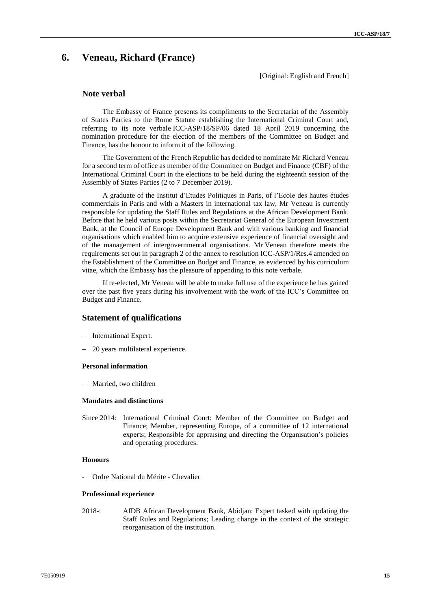# **6. Veneau, Richard (France)**

[Original: English and French]

# **Note verbal**

The Embassy of France presents its compliments to the Secretariat of the Assembly of States Parties to the Rome Statute establishing the International Criminal Court and, referring to its note verbale ICC-ASP/18/SP/06 dated 18 April 2019 concerning the nomination procedure for the election of the members of the Committee on Budget and Finance, has the honour to inform it of the following.

The Government of the French Republic has decided to nominate Mr Richard Veneau for a second term of office as member of the Committee on Budget and Finance (CBF) of the International Criminal Court in the elections to be held during the eighteenth session of the Assembly of States Parties (2 to 7 December 2019).

A graduate of the Institut d'Etudes Politiques in Paris, of l'Ecole des hautes études commercials in Paris and with a Masters in international tax law, Mr Veneau is currently responsible for updating the Staff Rules and Regulations at the African Development Bank. Before that he held various posts within the Secretariat General of the European Investment Bank, at the Council of Europe Development Bank and with various banking and financial organisations which enabled him to acquire extensive experience of financial oversight and of the management of intergovernmental organisations. Mr Veneau therefore meets the requirements set out in paragraph 2 of the annex to resolution ICC-ASP/1/Res.4 amended on the Establishment of the Committee on Budget and Finance, as evidenced by his curriculum vitae, which the Embassy has the pleasure of appending to this note verbale.

If re-elected, Mr Veneau will be able to make full use of the experience he has gained over the past five years during his involvement with the work of the ICC's Committee on Budget and Finance.

# **Statement of qualifications**

- International Expert.
- 20 years multilateral experience.

#### **Personal information**

- Married, two children

# **Mandates and distinctions**

Since 2014: International Criminal Court: Member of the Committee on Budget and Finance; Member, representing Europe, of a committee of 12 international experts; Responsible for appraising and directing the Organisation's policies and operating procedures.

### **Honours**

- Ordre National du Mérite - Chevalier

#### **Professional experience**

2018-: AfDB African Development Bank, Abidjan: Expert tasked with updating the Staff Rules and Regulations; Leading change in the context of the strategic reorganisation of the institution.